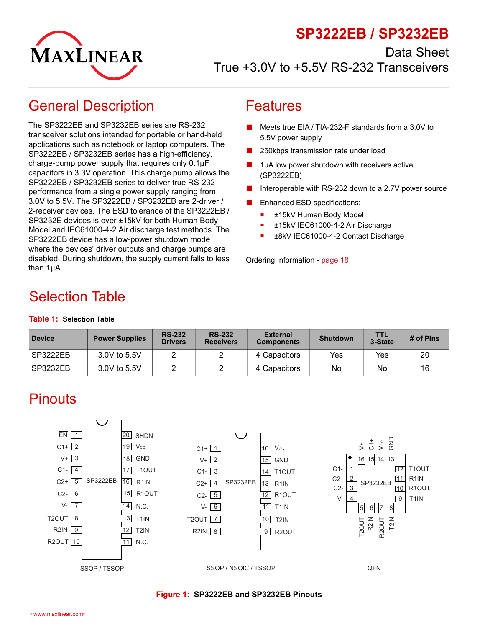## **SP3222EB / SP3232EB**



Data Sheet True +3.0V to +5.5V RS-232 Transceivers

# <span id="page-0-0"></span>General Description

The SP3222EB and SP3232EB series are RS-232 transceiver solutions intended for portable or hand-held applications such as notebook or laptop computers. The SP3222EB / SP3232EB series has a high-efficiency, charge-pump power supply that requires only 0.1µF capacitors in 3.3V operation. This charge pump allows the SP3222EB / SP3232EB series to deliver true RS-232 performance from a single power supply ranging from 3.0V to 5.5V. The SP3222EB / SP3232EB are 2-driver / 2-receiver devices. The ESD tolerance of the SP3222EB / SP3232E devices is over ±15kV for both Human Body Model and IEC61000-4-2 Air discharge test methods. The SP3222EB device has a low-power shutdown mode where the devices' driver outputs and charge pumps are disabled. During shutdown, the supply current falls to less than 1µA.

### <span id="page-0-1"></span>Features

- Meets true EIA / TIA-232-F standards from a 3.0V to 5.5V power supply
- 250kbps transmission rate under load
- 1µA low power shutdown with receivers active (SP3222EB)
- Interoperable with RS-232 down to a 2.7V power source
- Enhanced ESD specifications:
	- ±15kV Human Body Model
	- ±15kV IEC61000-4-2 Air Discharge
	- ±8kV IEC61000-4-2 Contact Discharge

Ordering Information - [page 18](#page-22-0)

# <span id="page-0-2"></span>Selection Table

#### <span id="page-0-5"></span>**Table 1: Selection Table**

| <b>Device</b> | <b>Power Supplies</b> | <b>RS-232</b><br><b>Drivers</b> | <b>RS-232</b><br><b>Receivers</b> | <b>External</b><br><b>Components</b> | <b>Shutdown</b> | TIL<br>3-State | # of Pins |
|---------------|-----------------------|---------------------------------|-----------------------------------|--------------------------------------|-----------------|----------------|-----------|
| SP3222EB      | 3.0V to 5.5V          |                                 |                                   | 4 Capacitors                         | Yes             | Yes            | 20        |
| SP3232EB      | 3.0V to 5.5V          |                                 |                                   | 4 Capacitors                         | No              | No             | 16        |

# <span id="page-0-3"></span>**Pinouts**



<span id="page-0-4"></span>**Figure 1: SP3222EB and SP3232EB Pinouts**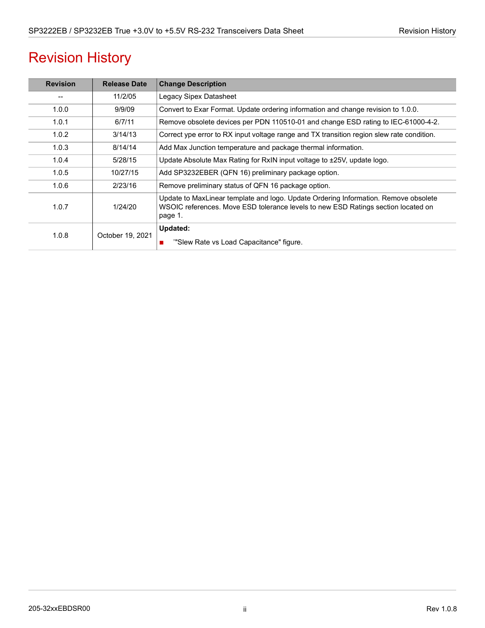# Revision History

| <b>Revision</b> | <b>Release Date</b> | <b>Change Description</b>                                                                                                                                                           |
|-----------------|---------------------|-------------------------------------------------------------------------------------------------------------------------------------------------------------------------------------|
|                 | 11/2/05             | Legacy Sipex Datasheet                                                                                                                                                              |
| 1.0.0           | 9/9/09              | Convert to Exar Format. Update ordering information and change revision to 1.0.0.                                                                                                   |
| 1.0.1           | 6/7/11              | Remove obsolete devices per PDN 110510-01 and change ESD rating to IEC-61000-4-2.                                                                                                   |
| 1.0.2           | 3/14/13             | Correct ype error to RX input voltage range and TX transition region slew rate condition.                                                                                           |
| 1.0.3           | 8/14/14             | Add Max Junction temperature and package thermal information.                                                                                                                       |
| 1.0.4           | 5/28/15             | Update Absolute Max Rating for RxIN input voltage to ±25V, update logo.                                                                                                             |
| 1.0.5           | 10/27/15            | Add SP3232EBER (QFN 16) preliminary package option.                                                                                                                                 |
| 1.0.6           | 2/23/16             | Remove preliminary status of QFN 16 package option.                                                                                                                                 |
| 1.0.7           | 1/24/20             | Update to MaxLinear template and logo. Update Ordering Information. Remove obsolete<br>WSOIC references. Move ESD tolerance levels to new ESD Ratings section located on<br>page 1. |
| 1.0.8           | October 19, 2021    | Updated:<br>"Slew Rate vs Load Capacitance" figure.                                                                                                                                 |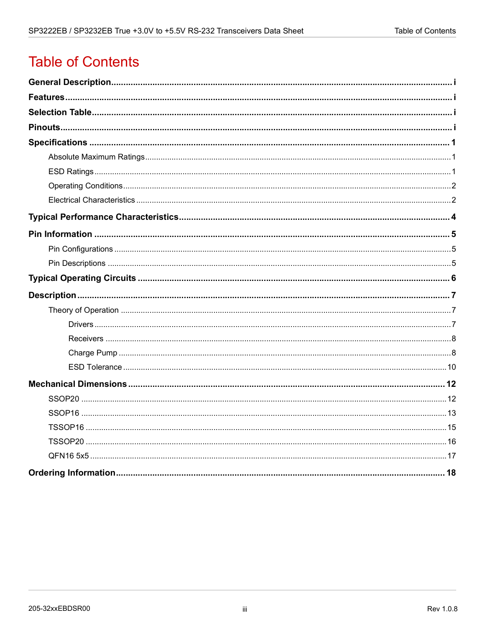# **Table of Contents**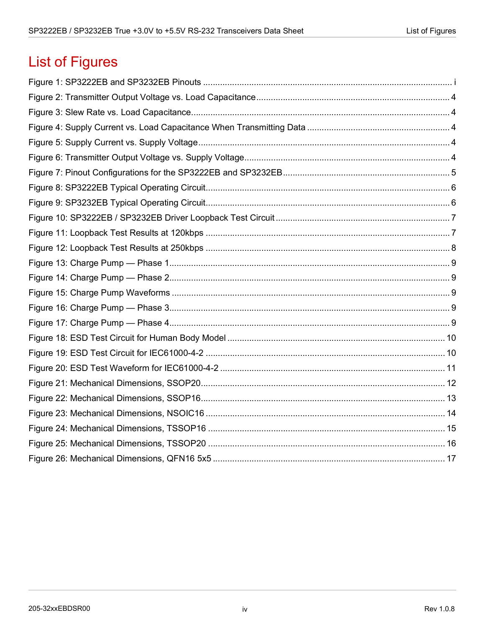# **List of Figures**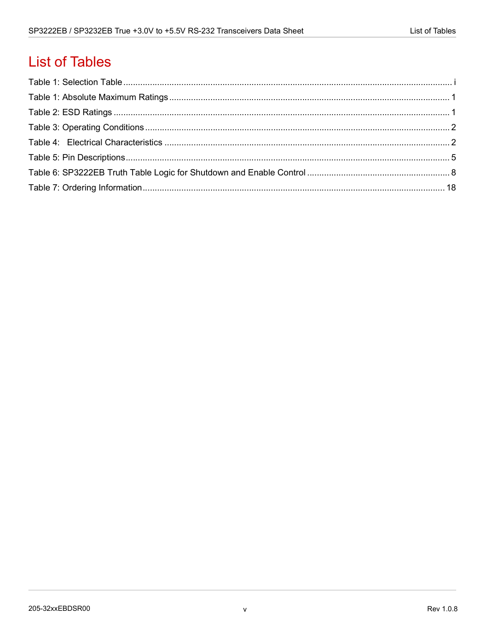# **List of Tables**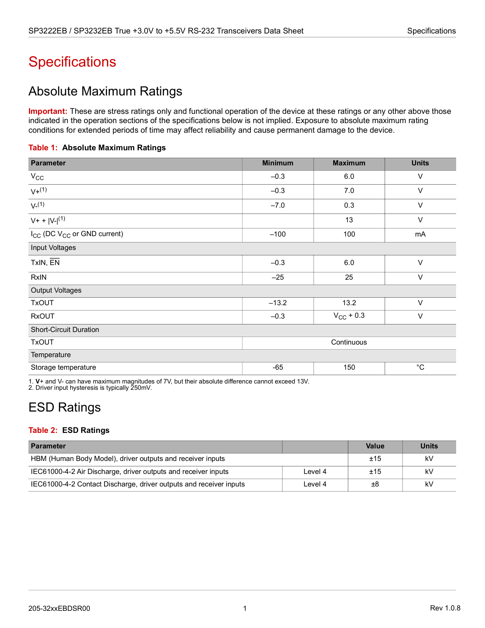# <span id="page-5-0"></span>**Specifications**

## <span id="page-5-1"></span>Absolute Maximum Ratings

**Important:** These are stress ratings only and functional operation of the device at these ratings or any other above those indicated in the operation sections of the specifications below is not implied. Exposure to absolute maximum rating conditions for extended periods of time may affect reliability and cause permanent damage to the device.

#### <span id="page-5-3"></span>**Table 1: Absolute Maximum Ratings**

| <b>Parameter</b>                                    | <b>Minimum</b> | <b>Units</b> |                   |  |  |  |
|-----------------------------------------------------|----------------|--------------|-------------------|--|--|--|
| $V_{\rm CC}$                                        | $-0.3$         | 6.0          | $\vee$            |  |  |  |
| $V + (1)$                                           | $-0.3$         | 7.0          | $\vee$            |  |  |  |
| $V^{(1)}$                                           | $-7.0$         | 0.3          | $\vee$            |  |  |  |
| $V + +  V -  (1)$                                   |                | 13           | $\vee$            |  |  |  |
| I <sub>CC</sub> (DC V <sub>CC</sub> or GND current) | 100<br>$-100$  |              | mA                |  |  |  |
| Input Voltages                                      |                |              |                   |  |  |  |
| TxIN, EN                                            | $-0.3$         | 6.0          | $\vee$            |  |  |  |
| <b>RxIN</b>                                         | $-25$          | 25           |                   |  |  |  |
| <b>Output Voltages</b>                              |                |              |                   |  |  |  |
| <b>TxOUT</b>                                        | $-13.2$        | 13.2         | $\vee$            |  |  |  |
| <b>RxOUT</b>                                        | $-0.3$         | $\vee$       |                   |  |  |  |
| <b>Short-Circuit Duration</b>                       |                |              |                   |  |  |  |
| <b>TxOUT</b>                                        | Continuous     |              |                   |  |  |  |
| Temperature                                         |                |              |                   |  |  |  |
| Storage temperature                                 | $-65$          | 150          | $^{\circ}{\rm C}$ |  |  |  |

1. **V**+ and V- can have maximum magnitudes of 7V, but their absolute difference cannot exceed 13V. 2. Driver input hysteresis is typically 250mV.

# <span id="page-5-2"></span>ESD Ratings

### <span id="page-5-4"></span>**Table 2: ESD Ratings**

| <b>Parameter</b>                                                   |         | <b>Value</b> | <b>Units</b> |
|--------------------------------------------------------------------|---------|--------------|--------------|
| HBM (Human Body Model), driver outputs and receiver inputs         |         | ±15          | kV           |
| IEC61000-4-2 Air Discharge, driver outputs and receiver inputs     | Level 4 | ±15          | kV           |
| IEC61000-4-2 Contact Discharge, driver outputs and receiver inputs | Level 4 | ±8           | kV           |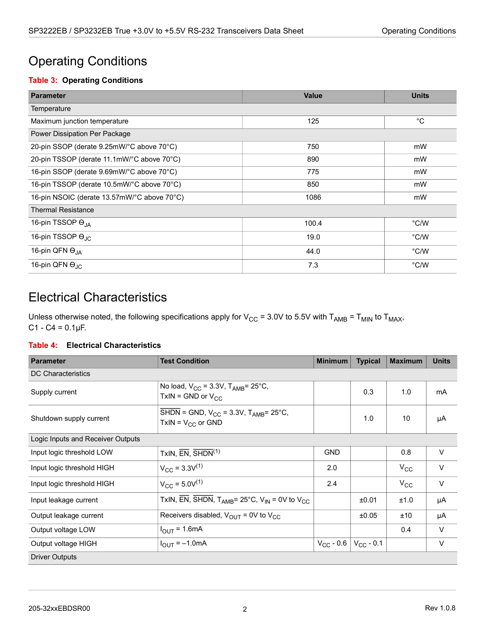## <span id="page-6-0"></span>Operating Conditions

### <span id="page-6-2"></span>**Table 3: Operating Conditions**

| <b>Parameter</b>                            | <b>Value</b> | <b>Units</b> |  |  |  |  |
|---------------------------------------------|--------------|--------------|--|--|--|--|
| Temperature                                 |              |              |  |  |  |  |
| Maximum junction temperature                | 125          | $^{\circ}C$  |  |  |  |  |
| Power Dissipation Per Package               |              |              |  |  |  |  |
| 20-pin SSOP (derate 9.25mW/°C above 70°C)   | 750          | mW           |  |  |  |  |
| 20-pin TSSOP (derate 11.1mW/°C above 70°C)  | 890          | mW           |  |  |  |  |
| 16-pin SSOP (derate 9.69mW/°C above 70°C)   | 775          | mW           |  |  |  |  |
| 16-pin TSSOP (derate 10.5mW/°C above 70°C)  | 850          | mW           |  |  |  |  |
| 16-pin NSOIC (derate 13.57mW/°C above 70°C) | 1086         | mW           |  |  |  |  |
| <b>Thermal Resistance</b>                   |              |              |  |  |  |  |
| 16-pin TSSOP O <sub>JA</sub>                | 100.4        | °C/W         |  |  |  |  |
| 16-pin TSSOP O <sub>JC</sub>                | 19.0         | °C/W         |  |  |  |  |
| 16-pin QFN O <sub>JA</sub>                  | 44.0         | °C/W         |  |  |  |  |
| 16-pin QFN O <sub>JC</sub>                  | 7.3          | °C/W         |  |  |  |  |

## <span id="page-6-1"></span>Electrical Characteristics

Unless otherwise noted, the following specifications apply for  $V_{CC}$  = 3.0V to 5.5V with T<sub>AMB</sub> = T<sub>MIN</sub> to T<sub>MAX</sub>,  $C1 - C4 = 0.1 \mu F$ .

### <span id="page-6-3"></span>**Table 4: Electrical Characteristics**

| <b>Parameter</b>                  | <b>Test Condition</b>                                                                                        | <b>Minimum</b> | <b>Typical</b> | <b>Maximum</b> | <b>Units</b> |  |  |
|-----------------------------------|--------------------------------------------------------------------------------------------------------------|----------------|----------------|----------------|--------------|--|--|
| <b>DC Characteristics</b>         |                                                                                                              |                |                |                |              |  |  |
| Supply current                    | No load, $V_{CC}$ = 3.3V, $T_{AMB}$ = 25°C,<br>TxIN = GND or $V_{CC}$                                        |                | 0.3            | 1.0            | mA           |  |  |
| Shutdown supply current           | $\overline{\text{SHDN}}$ = GND, V <sub>CC</sub> = 3.3V, T <sub>AMB</sub> = 25°C,<br>$TxIN = V_{CC}$ or GND   |                | 1.0            | 10             | μA           |  |  |
| Logic Inputs and Receiver Outputs |                                                                                                              |                |                |                |              |  |  |
| Input logic threshold LOW         | TxIN, $\overline{EN}$ , $\overline{SHDN}$ <sup>(1)</sup>                                                     | <b>GND</b>     |                | 0.8            | $\vee$       |  |  |
| Input logic threshold HIGH        | $V_{CC}$ = 3.3 $V^{(1)}$                                                                                     | 2.0            |                | $V_{\rm CC}$   | $\vee$       |  |  |
| Input logic threshold HIGH        | $V_{CC}$ = 5.0V <sup>(1)</sup>                                                                               | 2.4            |                | $V_{\rm CC}$   | $\vee$       |  |  |
| Input leakage current             | TxIN, $\overline{EN}$ , $\overline{SH}DN$ , T <sub>AMB</sub> = 25°C, V <sub>IN</sub> = 0V to V <sub>CC</sub> |                | ±0.01          | ±1.0           | μA           |  |  |
| Output leakage current            | Receivers disabled, $V_{OUT}$ = 0V to $V_{CC}$                                                               |                | ±0.05          | ±10            | μA           |  |  |
| Output voltage LOW                | $I_{\text{OUT}}$ = 1.6mA                                                                                     |                |                | 0.4            | $\vee$       |  |  |
| Output voltage HIGH               | $I_{\text{OUT}} = -1.0 \text{mA}$                                                                            | $V_{CC}$ - 0.6 | $V_{CC}$ - 0.1 |                | $\vee$       |  |  |
| <b>Driver Outputs</b>             |                                                                                                              |                |                |                |              |  |  |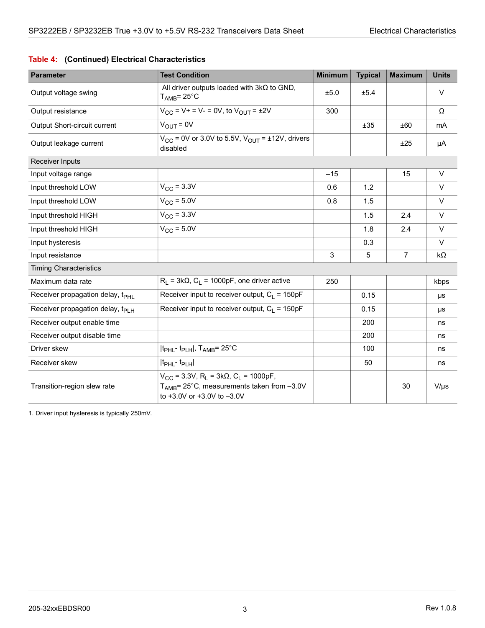### **Table 4: (Continued) Electrical Characteristics**

| <b>Parameter</b>                             | <b>Test Condition</b>                                                                                                                                   | <b>Minimum</b> | <b>Typical</b> | <b>Maximum</b> | <b>Units</b> |
|----------------------------------------------|---------------------------------------------------------------------------------------------------------------------------------------------------------|----------------|----------------|----------------|--------------|
| Output voltage swing                         | All driver outputs loaded with $3k\Omega$ to GND,<br>$T_{\text{AMB}}$ = 25°C                                                                            | ±5.0           | ±5.4           |                | $\vee$       |
| Output resistance                            | $V_{CC}$ = V+ = V- = 0V, to $V_{OUT}$ = ±2V                                                                                                             | 300            |                |                | Ω            |
| Output Short-circuit current                 | $V_{\text{OUT}} = 0V$                                                                                                                                   |                | ±35            | ±60            | mA           |
| Output leakage current                       | $V_{CC}$ = 0V or 3.0V to 5.5V, $V_{OUT}$ = ±12V, drivers<br>disabled                                                                                    |                |                | ±25            | μA           |
| Receiver Inputs                              |                                                                                                                                                         |                |                |                |              |
| Input voltage range                          |                                                                                                                                                         | $-15$          |                | 15             | $\vee$       |
| Input threshold LOW                          | $V_{\rm CC}$ = 3.3V                                                                                                                                     | 0.6            | 1.2            |                | V            |
| Input threshold LOW                          | $V_{CC}$ = 5.0V                                                                                                                                         | 0.8            | 1.5            |                | $\vee$       |
| Input threshold HIGH                         | $V_{CC}$ = 3.3V                                                                                                                                         |                | 1.5            | 2.4            | $\vee$       |
| Input threshold HIGH                         | $V_{CC}$ = 5.0V                                                                                                                                         |                | 1.8            | 2.4            | $\vee$       |
| Input hysteresis                             |                                                                                                                                                         |                | 0.3            |                | $\vee$       |
| Input resistance                             |                                                                                                                                                         | 3              | 5              | $\overline{7}$ | $k\Omega$    |
| <b>Timing Characteristics</b>                |                                                                                                                                                         |                |                |                |              |
| Maximum data rate                            | $R_1 = 3k\Omega$ , $C_1 = 1000pF$ , one driver active                                                                                                   | 250            |                |                | kbps         |
| Receiver propagation delay, t <sub>PHI</sub> | Receiver input to receiver output, $C_1 = 150pF$                                                                                                        |                | 0.15           |                | μs           |
| Receiver propagation delay, t <sub>PLH</sub> | Receiver input to receiver output, $C_1 = 150pF$                                                                                                        |                | 0.15           |                | μs           |
| Receiver output enable time                  |                                                                                                                                                         |                | 200            |                | ns           |
| Receiver output disable time                 |                                                                                                                                                         |                | 200            |                | ns           |
| Driver skew                                  | It <sub>PHL</sub> -t <sub>PLH</sub>  , T <sub>AMB</sub> = 25°C                                                                                          |                | 100            |                | ns           |
| Receiver skew                                | It <sub>PHL</sub> -t <sub>PLH</sub>                                                                                                                     |                | 50             |                | ns           |
| Transition-region slew rate                  | $V_{CC}$ = 3.3V, R <sub>I</sub> = 3kΩ, C <sub>I</sub> = 1000pF,<br>T <sub>AMB</sub> = 25°C, measurements taken from -3.0V<br>to +3.0V or +3.0V to -3.0V |                |                | 30             | $V/\mu s$    |

1. Driver input hysteresis is typically 250mV.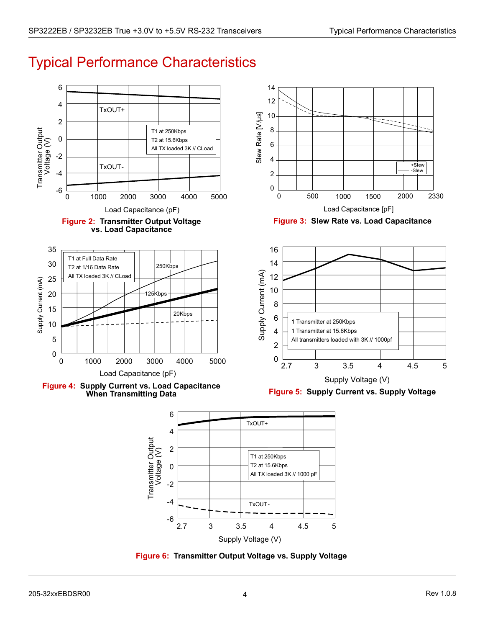<span id="page-8-0"></span>

<span id="page-8-2"></span><span id="page-8-1"></span>

<span id="page-8-4"></span>Supply Voltage (V)

<span id="page-8-5"></span><span id="page-8-3"></span>**Figure 6: Transmitter Output Voltage vs. Supply Voltage**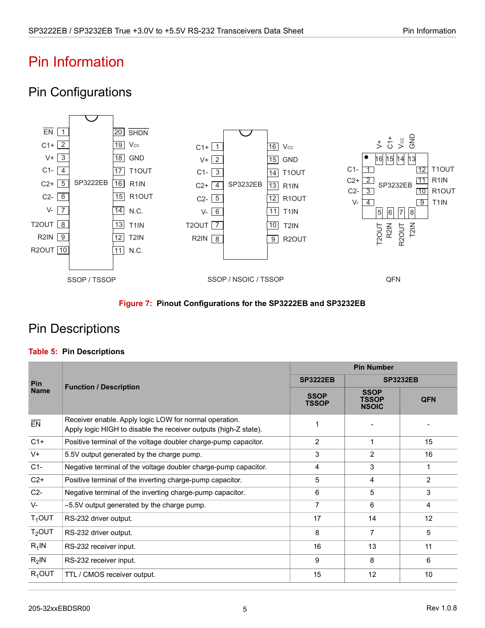# <span id="page-9-0"></span>Pin Information

## <span id="page-9-1"></span>Pin Configurations



### **Figure 7: Pinout Configurations for the SP3222EB and SP3232EB**

## <span id="page-9-3"></span><span id="page-9-2"></span>Pin Descriptions

### <span id="page-9-4"></span>**Table 5: Pin Descriptions**

|             | <b>Function / Description</b>                                                                                              | <b>Pin Number</b>           |                                             |                 |  |
|-------------|----------------------------------------------------------------------------------------------------------------------------|-----------------------------|---------------------------------------------|-----------------|--|
| <b>Pin</b>  |                                                                                                                            | <b>SP3222EB</b>             |                                             | <b>SP3232EB</b> |  |
| <b>Name</b> |                                                                                                                            | <b>SSOP</b><br><b>TSSOP</b> | <b>SSOP</b><br><b>TSSOP</b><br><b>NSOIC</b> | <b>QFN</b>      |  |
| EN          | Receiver enable. Apply logic LOW for normal operation.<br>Apply logic HIGH to disable the receiver outputs (high-Z state). |                             |                                             |                 |  |
| $C1+$       | Positive terminal of the voltage doubler charge-pump capacitor.                                                            | $\overline{2}$              | 1                                           | 15              |  |
| $V^+$       | 5.5V output generated by the charge pump.                                                                                  | 3                           | $\overline{2}$                              | 16              |  |
| $C1-$       | Negative terminal of the voltage doubler charge-pump capacitor.                                                            | 4                           | 3                                           | 1               |  |
| $C2+$       | Positive terminal of the inverting charge-pump capacitor.                                                                  | 5                           | 4                                           | $\overline{2}$  |  |
| $C2-$       | Negative terminal of the inverting charge-pump capacitor.                                                                  | 6                           | 5                                           | 3               |  |
| $V -$       | -5.5V output generated by the charge pump.                                                                                 | 7                           | 6                                           | $\overline{4}$  |  |
| $T_1$ OUT   | RS-232 driver output.                                                                                                      | 17                          | 14                                          | 12              |  |
| $T2$ OUT    | RS-232 driver output.                                                                                                      | 8                           | $\overline{7}$                              | 5               |  |
| $R_1$ IN    | RS-232 receiver input.                                                                                                     | 16                          | 13                                          | 11              |  |
| $R_2$ IN    | RS-232 receiver input.                                                                                                     | 9                           | 8                                           | 6               |  |
| $R_1$ OUT   | TTL / CMOS receiver output.                                                                                                | 15                          | 12                                          | 10              |  |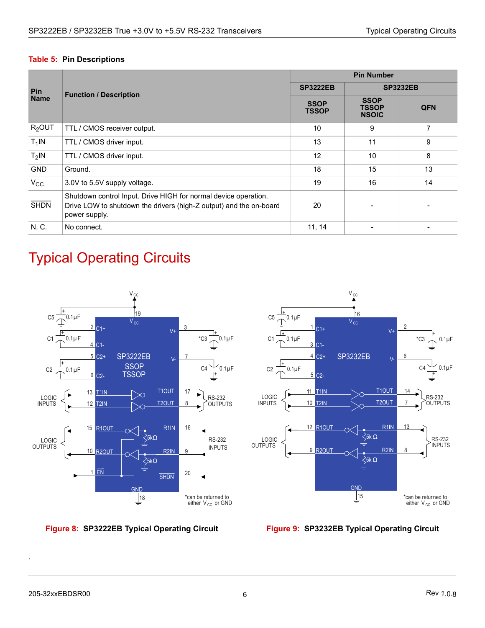#### **Table 5: Pin Descriptions**

|              | <b>Function / Description</b>                                                                                                                          | <b>Pin Number</b>           |                                             |                 |  |
|--------------|--------------------------------------------------------------------------------------------------------------------------------------------------------|-----------------------------|---------------------------------------------|-----------------|--|
| <b>Pin</b>   |                                                                                                                                                        | <b>SP3222EB</b>             |                                             | <b>SP3232EB</b> |  |
| <b>Name</b>  |                                                                                                                                                        | <b>SSOP</b><br><b>TSSOP</b> | <b>SSOP</b><br><b>TSSOP</b><br><b>NSOIC</b> | <b>QFN</b>      |  |
| $R2$ OUT     | TTL / CMOS receiver output.                                                                                                                            | 10                          | 9                                           | 7               |  |
| $T_1$ IN     | TTL / CMOS driver input.                                                                                                                               | 13                          | 11                                          | 9               |  |
| $T2$ IN      | TTL / CMOS driver input.                                                                                                                               | 12                          | 10                                          | 8               |  |
| <b>GND</b>   | Ground.                                                                                                                                                | 18                          | 15                                          | 13              |  |
| $V_{\rm CC}$ | 3.0V to 5.5V supply voltage.                                                                                                                           | 19                          | 16                                          | 14              |  |
| <b>SHDN</b>  | Shutdown control Input. Drive HIGH for normal device operation.<br>Drive LOW to shutdown the drivers (high-Z output) and the on-board<br>power supply. | 20                          |                                             |                 |  |
| N. C.        | No connect.                                                                                                                                            | 11, 14                      |                                             |                 |  |

# <span id="page-10-0"></span>Typical Operating Circuits



<span id="page-10-1"></span>



<span id="page-10-2"></span>

.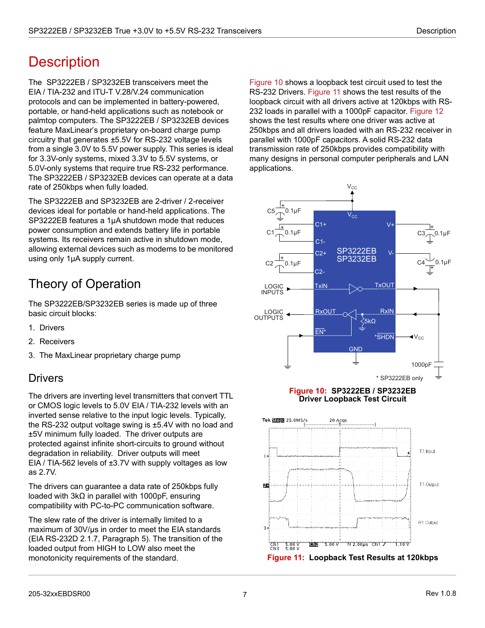# <span id="page-11-0"></span>**Description**

The SP3222EB / SP3232EB transceivers meet the EIA / TIA-232 and ITU-T V.28/V.24 communication protocols and can be implemented in battery-powered, portable, or hand-held applications such as notebook or palmtop computers. The SP3222EB / SP3232EB devices feature MaxLinear's proprietary on-board charge pump circuitry that generates ±5.5V for RS-232 voltage levels from a single 3.0V to 5.5V power supply. This series is ideal for 3.3V-only systems, mixed 3.3V to 5.5V systems, or 5.0V-only systems that require true RS-232 performance. The SP3222EB / SP3232EB devices can operate at a data rate of 250kbps when fully loaded.

The SP3222EB and SP3232EB are 2-driver / 2-receiver devices ideal for portable or hand-held applications. The SP3222EB features a 1µA shutdown mode that reduces power consumption and extends battery life in portable systems. Its receivers remain active in shutdown mode, allowing external devices such as modems to be monitored using only 1µA supply current.

# <span id="page-11-1"></span>Theory of Operation

The SP3222EB/SP3232EB series is made up of three basic circuit blocks:

- 1. Drivers
- 2. Receivers
- 3. The MaxLinear proprietary charge pump

### <span id="page-11-2"></span>**Drivers**

The drivers are inverting level transmitters that convert TTL or CMOS logic levels to 5.0V EIA / TIA-232 levels with an inverted sense relative to the input logic levels. Typically, the RS-232 output voltage swing is ±5.4V with no load and ±5V minimum fully loaded. The driver outputs are protected against infinite short-circuits to ground without degradation in reliability. Driver outputs will meet EIA / TIA-562 levels of ±3.7V with supply voltages as low as 2.7V.

The drivers can guarantee a data rate of 250kbps fully loaded with 3kΩ in parallel with 1000pF, ensuring compatibility with PC-to-PC communication software.

The slew rate of the driver is internally limited to a maximum of 30V/us in order to meet the EIA standards (EIA RS-232D 2.1.7, Paragraph 5). The transition of the loaded output from HIGH to LOW also meet the monotonicity requirements of the standard.

[Figure 10](#page-11-3) shows a loopback test circuit used to test the RS-232 Drivers. [Figure 11](#page-11-4) shows the test results of the loopback circuit with all drivers active at 120kbps with RS-232 loads in parallel with a 1000pF capacitor. [Figure 12](#page-12-2) shows the test results where one driver was active at 250kbps and all drivers loaded with an RS-232 receiver in parallel with 1000pF capacitors. A solid RS-232 data transmission rate of 250kbps provides compatibility with many designs in personal computer peripherals and LAN applications.



#### **Figure 10: SP3222EB / SP3232EB Driver Loopback Test Circuit**

<span id="page-11-4"></span><span id="page-11-3"></span>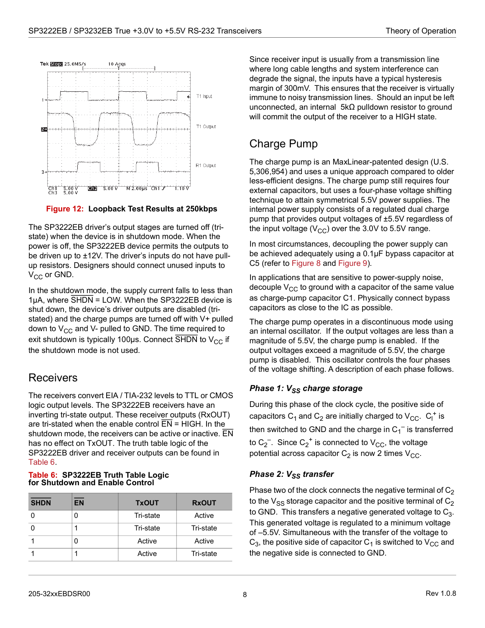

**Figure 12: Loopback Test Results at 250kbps**

<span id="page-12-2"></span>The SP3222EB driver's output stages are turned off (tristate) when the device is in shutdown mode. When the power is off, the SP3222EB device permits the outputs to be driven up to ±12V. The driver's inputs do not have pullup resistors. Designers should connect unused inputs to  $V_{CC}$  or GND.

In the shutdown mode, the supply current falls to less than 1 $\mu$ A, where  $\overline{\text{SHDN}}$  = LOW. When the SP3222EB device is shut down, the device's driver outputs are disabled (tristated) and the charge pumps are turned off with V+ pulled down to  $V_{CC}$  and V- pulled to GND. The time required to exit shutdown is typically 100µs. Connect  $\overline{\text{SHDN}}$  to V<sub>CC</sub> if the shutdown mode is not used.

### <span id="page-12-0"></span>**Receivers**

The receivers convert EIA / TIA-232 levels to TTL or CMOS logic output levels. The SP3222EB receivers have an inverting tri-state output. These receiver outputs (RxOUT) are tri-stated when the enable control EN = HIGH. In the shutdown mode, the receivers can be active or inactive. EN has no effect on TxOUT. The truth table logic of the SP3222EB driver and receiver outputs can be found in [Table 6](#page-12-3).

#### <span id="page-12-3"></span>**Table 6: SP3222EB Truth Table Logic for Shutdown and Enable Control**

| <b>SHDN</b> | <b>EN</b> | <b>TxOUT</b> | <b>RxOUT</b> |
|-------------|-----------|--------------|--------------|
|             |           | Tri-state    | Active       |
|             |           | Tri-state    | Tri-state    |
|             |           | Active       | Active       |
|             |           | Active       | Tri-state    |

Since receiver input is usually from a transmission line where long cable lengths and system interference can degrade the signal, the inputs have a typical hysteresis margin of 300mV. This ensures that the receiver is virtually immune to noisy transmission lines. Should an input be left unconnected, an internal 5kΩ pulldown resistor to ground will commit the output of the receiver to a HIGH state.

## <span id="page-12-1"></span>Charge Pump

The charge pump is an MaxLinear-patented design (U.S. 5,306,954) and uses a unique approach compared to older less-efficient designs. The charge pump still requires four external capacitors, but uses a four-phase voltage shifting technique to attain symmetrical 5.5V power supplies. The internal power supply consists of a regulated dual charge pump that provides output voltages of ±5.5V regardless of the input voltage ( $V_{CC}$ ) over the 3.0V to 5.5V range.

In most circumstances, decoupling the power supply can be achieved adequately using a 0.1µF bypass capacitor at C5 (refer to [Figure 8](#page-10-1) and [Figure 9\)](#page-10-2).

In applications that are sensitive to power-supply noise, decouple  $V_{CC}$  to ground with a capacitor of the same value as charge-pump capacitor C1. Physically connect bypass capacitors as close to the IC as possible.

The charge pump operates in a discontinuous mode using an internal oscillator. If the output voltages are less than a magnitude of 5.5V, the charge pump is enabled. If the output voltages exceed a magnitude of 5.5V, the charge pump is disabled. This oscillator controls the four phases of the voltage shifting. A description of each phase follows.

### *Phase 1:* V<sub>SS</sub> charge storage

During this phase of the clock cycle, the positive side of capacitors  $\mathsf{C}_1$  and  $\mathsf{C}_2$  are initially charged to  $\mathsf{V}_{\mathsf{CC}}.$   $\mathsf{C}_\mathsf{I}^+$  is then switched to GND and the charge in  $\mathsf{C_1}^-$  is transferred to C $_2^-$ . Since C $_2^+$  is connected to V $_{\rm CC}$ , the voltage potential across capacitor  $C_2$  is now 2 times  $V_{CC}$ .

### *Phase 2: V<sub>SS</sub> transfer*

Phase two of the clock connects the negative terminal of  $C_2$ to the  $V_{SS}$  storage capacitor and the positive terminal of  $C_2$ to GND. This transfers a negative generated voltage to  $C_3$ . This generated voltage is regulated to a minimum voltage of –5.5V. Simultaneous with the transfer of the voltage to  $C_3$ , the positive side of capacitor  $C_1$  is switched to  $V_{CC}$  and the negative side is connected to GND.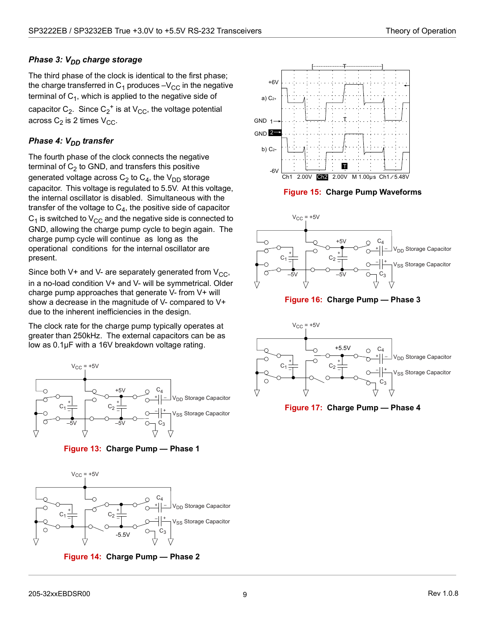### *Phase 3: V<sub>DD</sub> charge storage*

The third phase of the clock is identical to the first phase; the charge transferred in  $C_1$  produces  $-V_{CC}$  in the negative terminal of  $C_1$ , which is applied to the negative side of capacitor  $\textsf{C}_2$ . Since  $\textsf{C_2}^+$  is at  $\textsf{V}_{\textsf{CC}}$ , the voltage potential across  $C_2$  is 2 times  $V_{CC}$ .

### **Phase 4: V<sub>DD</sub> transfer**

The fourth phase of the clock connects the negative terminal of  $C_2$  to GND, and transfers this positive generated voltage across  $C_2$  to  $C_4$ , the  $V_{DD}$  storage capacitor. This voltage is regulated to 5.5V. At this voltage, the internal oscillator is disabled. Simultaneous with the transfer of the voltage to  $C_4$ , the positive side of capacitor  $C_1$  is switched to  $V_{CC}$  and the negative side is connected to GND, allowing the charge pump cycle to begin again. The charge pump cycle will continue as long as the operational conditions for the internal oscillator are present.

Since both V+ and V- are separately generated from  $V_{CC}$ , in a no-load condition V+ and V- will be symmetrical. Older charge pump approaches that generate V- from V+ will show a decrease in the magnitude of V- compared to V+ due to the inherent inefficiencies in the design.

The clock rate for the charge pump typically operates at greater than 250kHz. The external capacitors can be as low as 0.1µF with a 16V breakdown voltage rating.



**Figure 13: Charge Pump — Phase 1**

<span id="page-13-0"></span>

<span id="page-13-1"></span>**Figure 14: Charge Pump — Phase 2**



**Figure 15: Charge Pump Waveforms**

<span id="page-13-2"></span>

**Figure 16: Charge Pump — Phase 3**

<span id="page-13-3"></span>

<span id="page-13-4"></span>**Figure 17: Charge Pump — Phase 4**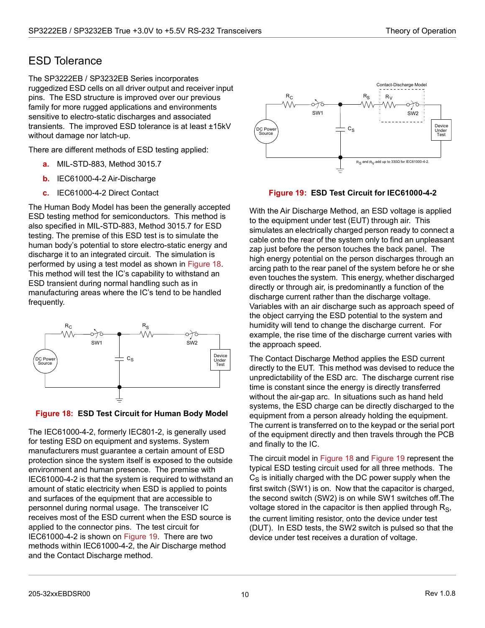### <span id="page-14-0"></span>ESD Tolerance

The SP3222EB / SP3232EB Series incorporates ruggedized ESD cells on all driver output and receiver input pins. The ESD structure is improved over our previous family for more rugged applications and environments sensitive to electro-static discharges and associated transients. The improved ESD tolerance is at least ±15kV without damage nor latch-up.

There are different methods of ESD testing applied:

- **a.** MIL-STD-883, Method 3015.7
- **b.** IEC61000-4-2 Air-Discharge
- **c.** IEC61000-4-2 Direct Contact

The Human Body Model has been the generally accepted ESD testing method for semiconductors. This method is also specified in MIL-STD-883, Method 3015.7 for ESD testing. The premise of this ESD test is to simulate the human body's potential to store electro-static energy and discharge it to an integrated circuit. The simulation is performed by using a test model as shown in [Figure 18](#page-14-1). This method will test the IC's capability to withstand an ESD transient during normal handling such as in manufacturing areas where the IC's tend to be handled frequently.



<span id="page-14-1"></span>

The IEC61000-4-2, formerly IEC801-2, is generally used for testing ESD on equipment and systems. System manufacturers must guarantee a certain amount of ESD protection since the system itself is exposed to the outside environment and human presence. The premise with IEC61000-4-2 is that the system is required to withstand an amount of static electricity when ESD is applied to points and surfaces of the equipment that are accessible to personnel during normal usage. The transceiver IC receives most of the ESD current when the ESD source is applied to the connector pins. The test circuit for IEC61000-4-2 is shown on [Figure 19.](#page-14-2) There are two methods within IEC61000-4-2, the Air Discharge method and the Contact Discharge method.



#### **Figure 19: ESD Test Circuit for IEC61000-4-2**

<span id="page-14-2"></span>With the Air Discharge Method, an ESD voltage is applied to the equipment under test (EUT) through air. This simulates an electrically charged person ready to connect a cable onto the rear of the system only to find an unpleasant zap just before the person touches the back panel. The high energy potential on the person discharges through an arcing path to the rear panel of the system before he or she even touches the system. This energy, whether discharged directly or through air, is predominantly a function of the discharge current rather than the discharge voltage. Variables with an air discharge such as approach speed of the object carrying the ESD potential to the system and humidity will tend to change the discharge current. For example, the rise time of the discharge current varies with the approach speed.

The Contact Discharge Method applies the ESD current directly to the EUT. This method was devised to reduce the unpredictability of the ESD arc. The discharge current rise time is constant since the energy is directly transferred without the air-gap arc. In situations such as hand held systems, the ESD charge can be directly discharged to the equipment from a person already holding the equipment. The current is transferred on to the keypad or the serial port of the equipment directly and then travels through the PCB and finally to the IC.

The circuit model in [Figure 18](#page-14-1) and [Figure 19](#page-14-2) represent the typical ESD testing circuit used for all three methods. The  $C_S$  is initially charged with the DC power supply when the first switch (SW1) is on. Now that the capacitor is charged, the second switch (SW2) is on while SW1 switches off.The voltage stored in the capacitor is then applied through  $R<sub>S</sub>$ , the current limiting resistor, onto the device under test (DUT). In ESD tests, the SW2 switch is pulsed so that the device under test receives a duration of voltage.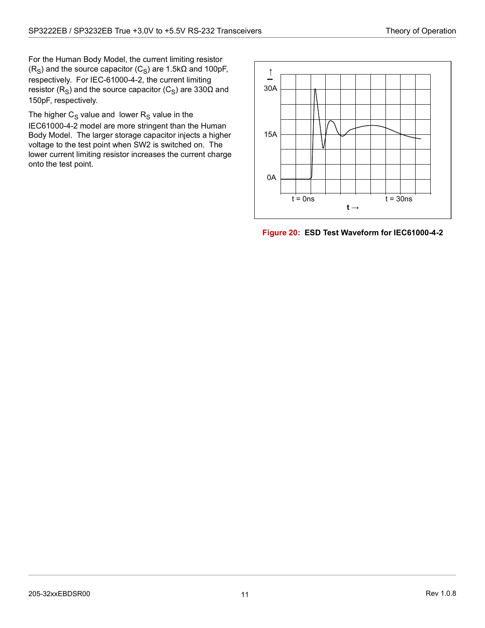For the Human Body Model, the current limiting resistor (R<sub>S</sub>) and the source capacitor (C<sub>S</sub>) are 1.5k $\Omega$  and 100pF, respectively. For IEC-61000-4-2, the current limiting resistor ( $R_S$ ) and the source capacitor ( $C_S$ ) are 330 $\Omega$  and 150pF, respectively.

The higher  $C_S$  value and lower  $R_S$  value in the IEC61000-4-2 model are more stringent than the Human Body Model. The larger storage capacitor injects a higher voltage to the test point when SW2 is switched on. The lower current limiting resistor increases the current charge onto the test point.



<span id="page-15-0"></span>**Figure 20: ESD Test Waveform for IEC61000-4-2**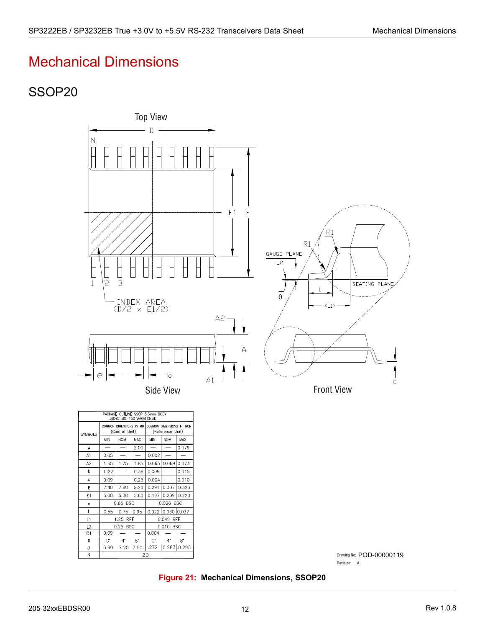# <span id="page-16-0"></span>Mechanical Dimensions

### <span id="page-16-1"></span>SSOP20



|           | Drawing No: POD-00000119 |
|-----------|--------------------------|
| Revision: |                          |

#### **Figure 21: Mechanical Dimensions, SSOP20**

 $0.65$  BSC

1.25 REF

0.25 BSC

 $4^{\circ}$ 

 $0.09$  $\overline{O}$ 

 $0.55$  0.75 0.95 0.022 0.030 0.037

 $6.90$  7.20 7.50 .272 0.283 0.295

 $\overline{20}$ 

 $\overline{8}$  $\overline{0}$ 

 $0.004$ 

 $\mathsf{e}% _{t}\left( t\right) \equiv\mathsf{e}_{t}\left( t\right) ,$  $\mathsf L$ 

 $L1$ 

 $L2$ 

 $R1$ 

 $\overline{\theta}$ 

<span id="page-16-2"></span> $\mathsf D$  $\overline{N}$   $0.026$  BSC

0.049 REF

0.010 BSC

 $4^*$  $\overline{8}$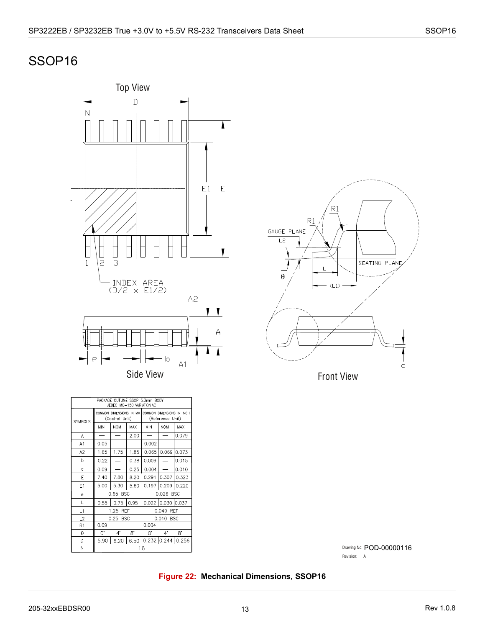## <span id="page-17-0"></span>SSOP16





| PACKAGE OUTLINE SSOP 5.3mm BODY<br>JEDEC MO-150 VARIATION AC |                                           |                    |      |                                               |                   |       |  |
|--------------------------------------------------------------|-------------------------------------------|--------------------|------|-----------------------------------------------|-------------------|-------|--|
| <b>SYMBOLS</b>                                               | COMMON DIMENSIONS IN MM<br>(Control Unit) |                    |      | COMMON DIMENSIONS IN INCH<br>(Reference Unit) |                   |       |  |
|                                                              | <b>MIN</b>                                | <b>NOM</b>         | MAX  | MIN                                           | <b>NOM</b>        | MAX   |  |
| Α                                                            |                                           |                    | 2.00 |                                               |                   | 0.079 |  |
| A1                                                           | 0.05                                      |                    |      | 0.002                                         |                   |       |  |
| A <sub>2</sub>                                               | 1.65                                      | 1.75               | 1.85 | 0.065                                         | 0.069             | 0.073 |  |
| b                                                            | 0.22                                      |                    | 0.38 | 0.009                                         |                   | 0.015 |  |
| Ċ                                                            | 0.09                                      |                    | 0.25 | 0.004                                         |                   | 0.010 |  |
| E                                                            | 7.40                                      | 7.80               | 8.20 | 0.291                                         | 0.307             | 0.323 |  |
| E <sub>1</sub>                                               | 5.00                                      | 5.30               | 5.60 | 0.197                                         | 0.209             | 0.220 |  |
| e                                                            |                                           | 0.65 BSC           |      | 0.026<br><b>BSC</b>                           |                   |       |  |
| L                                                            | 0.55                                      | 0.75               | 0.95 |                                               | 0.022 0.030 0.037 |       |  |
| L1                                                           |                                           | <b>REF</b><br>1.25 |      | <b>REF</b><br>0.049                           |                   |       |  |
| L2                                                           | 0.25<br><b>BSC</b>                        |                    |      | 0.010<br><b>BSC</b>                           |                   |       |  |
| R1                                                           | 0.09<br>0.004                             |                    |      |                                               |                   |       |  |
| θ                                                            | 0.                                        | $4^{\circ}$        | 8.   | U.                                            | $4^{\circ}$       | 8.    |  |
| D                                                            | 5.90                                      | 6.20               | 6.50 |                                               | 0.232 0.244       | 0.256 |  |
| N                                                            | 16                                        |                    |      |                                               |                   |       |  |

Drawing No: POD-00000116 Revision: A

### <span id="page-17-1"></span>**Figure 22: Mechanical Dimensions, SSOP16**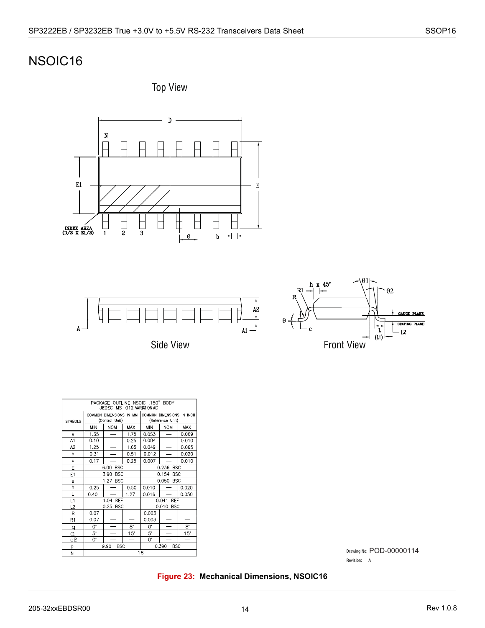## NSOIC16







Side View



| PACKAGE OUTLINE NSOIC .150" BODY<br>JEDEC MS-012 VARIATION AC |                         |                                           |                          |                           |            |            |  |
|---------------------------------------------------------------|-------------------------|-------------------------------------------|--------------------------|---------------------------|------------|------------|--|
|                                                               | COMMON DIMENSIONS IN MM |                                           |                          | COMMON DIMENSIONS IN INCH |            |            |  |
| <b>SYMBOLS</b>                                                |                         | (Control Unit)                            |                          | (Reference Unit)          |            |            |  |
|                                                               | <b>MIN</b>              | <b>NOM</b>                                | MAX                      | <b>MIN</b>                | <b>NOM</b> | <b>MAX</b> |  |
| A                                                             | 1.35                    | $=$                                       | 1.75                     | 0.053                     | $\equiv$   | 0.069      |  |
| A1                                                            | 0.10                    |                                           | 0.25                     | 0.004                     |            | 0.010      |  |
| A <sub>2</sub>                                                | 1.25                    |                                           | 1.65                     | 0.049                     |            | 0.065      |  |
| b                                                             | 0.31                    |                                           | 0.51                     | 0.012                     |            | 0.020      |  |
| $\mathbf{c}$                                                  | 0.17                    |                                           | 0.25                     | 0.007                     |            | 0.010      |  |
| E                                                             | <b>BSC</b><br>6.00      |                                           |                          | 0.236 BSC                 |            |            |  |
| E <sub>1</sub>                                                | <b>BSC</b><br>3.90      |                                           |                          | 0.154<br><b>BSC</b>       |            |            |  |
| e                                                             |                         | 1.27<br><b>BSC</b>                        |                          | 0.050<br><b>BSC</b>       |            |            |  |
| h                                                             | 0.25                    |                                           | 0.50                     | 0.010                     |            | 0.020      |  |
| L                                                             | 0.40                    |                                           | 1.27                     | 0.016                     |            | 0.050      |  |
| L1                                                            |                         | 1.04 REF                                  |                          | 0.041 REF                 |            |            |  |
| L2                                                            |                         | 0.25 BSC                                  |                          | 0.010 BSC                 |            |            |  |
| R                                                             | 0.07                    |                                           |                          | 0.003                     |            |            |  |
| R <sub>1</sub>                                                | 0.07                    |                                           |                          | 0.003                     |            |            |  |
| q                                                             | 0.                      |                                           | 8.                       | 0.                        |            | $8^\circ$  |  |
| ql                                                            | 5.                      |                                           | 15"                      | 5*                        |            | 15"        |  |
| <u>۾</u>                                                      | 0.                      |                                           | $\overline{\phantom{0}}$ | 0.                        |            | -          |  |
| D                                                             |                         | <b>BSC</b><br>0.390<br><b>BSC</b><br>9.90 |                          |                           |            |            |  |
| M.                                                            | 16                      |                                           |                          |                           |            |            |  |

Drawing No: POD-00000114Revision: A

### <span id="page-18-0"></span>**Figure 23: Mechanical Dimensions, NSOIC16**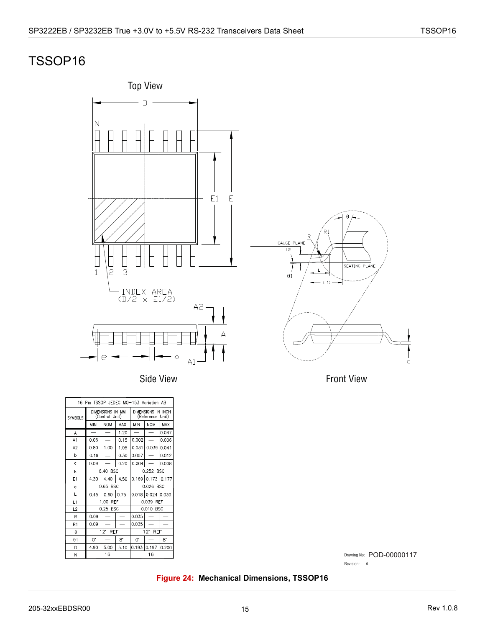## <span id="page-19-0"></span>TSSOP16



Side View

| 16 Pin TSSOP JEDEC MO-153 Variation AB |                                    |                    |             |                                        |                   |            |
|----------------------------------------|------------------------------------|--------------------|-------------|----------------------------------------|-------------------|------------|
| <b>SYMBOLS</b>                         | DIMENSIONS IN MM<br>(Control Unit) |                    |             | DIMENSIONS IN INCH<br>(Reference Unit) |                   |            |
|                                        | <b>MIN</b>                         | <b>NOM</b>         | MAX         | MIN                                    | <b>NOM</b>        | <b>MAX</b> |
| А                                      |                                    |                    | 1.20        |                                        |                   | 0.047      |
| A1                                     | 0.05                               |                    | 0.15        | 0.002                                  |                   | 0.006      |
| A <sub>2</sub>                         | 0.80                               | 1.00               | 1.05        | 0.031                                  | 0.039             | 0.041      |
| b                                      | 0.19                               |                    | 0.30        | 0.007                                  |                   | 0.012      |
| Ċ.                                     | 0.09                               |                    | 0.20        | 0.004                                  |                   | 0.008      |
| E                                      |                                    | 6.40 BSC           |             | 0.252 BSC                              |                   |            |
| E <sub>1</sub>                         | 4.30                               | 4.40               | 4.50        | 0.169 0.173 0.177                      |                   |            |
| e                                      |                                    | 0.65 BSC           |             | 0.026 BSC                              |                   |            |
| L                                      | 0.45                               | 0.60               | 0.75        |                                        | 0.018 0.024 0.030 |            |
| L1                                     |                                    | 1.00<br><b>RFF</b> |             | 0.039<br><b>RFF</b>                    |                   |            |
| L2                                     |                                    | 0.25 BSC           |             | 0.010 BSC                              |                   |            |
| R                                      | 0.09                               |                    |             | 0.035                                  |                   |            |
| R1                                     | 0.09                               |                    |             | 0.035                                  |                   |            |
| θ                                      | 12' REF                            |                    |             |                                        | $12'$ REF         |            |
| $\theta$ 1                             | 0.                                 |                    | $8^{\circ}$ | $\Omega^*$                             |                   | 8.         |
| D                                      | 4.90                               | 5.00               | 5.10        | 0.193                                  | $0.197$           | 0.200      |
| N                                      | 16                                 |                    |             |                                        | 16                |            |

Front View

 $\subset$ 

Drawing No: POD-00000117 Revision: A

#### <span id="page-19-1"></span>**Figure 24: Mechanical Dimensions, TSSOP16**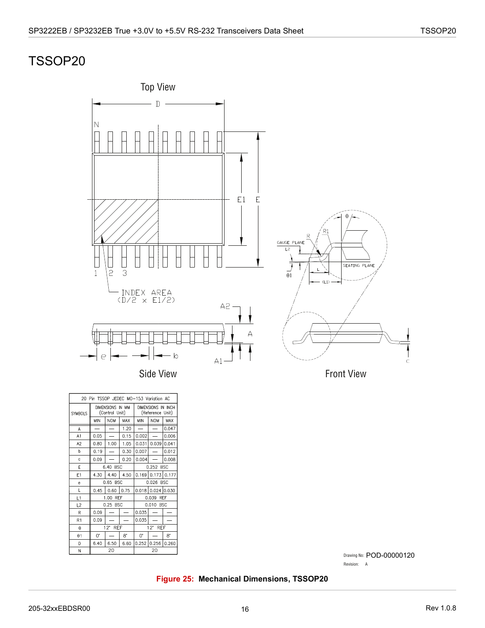## <span id="page-20-0"></span>TSSOP20



Side View

| 20 Pin TSSOP JEDEC MO-153 Variation AC |                                    |                          |           |                                        |                          |             |
|----------------------------------------|------------------------------------|--------------------------|-----------|----------------------------------------|--------------------------|-------------|
| <b>SYMBOLS</b>                         | DIMENSIONS IN MM<br>(Control Unit) |                          |           | DIMENSIONS IN INCH<br>(Reference Unit) |                          |             |
|                                        | MIN                                | <b>NOM</b>               | MAX       | MIN                                    | <b>NOM</b>               | MAX         |
| A                                      | $\overline{\phantom{0}}$           | $\overline{\phantom{0}}$ | 1.20      | $\overline{\phantom{0}}$               | $\overline{\phantom{0}}$ | 0.047       |
| A1                                     | 0.05                               |                          | 0.15      | 0.002                                  |                          | 0.006       |
| A2                                     | 0.80                               | 1.00                     | 1.05      | 0.031                                  | 0.039 0.041              |             |
| b                                      | 0.19                               |                          | 0.30      | 0.007                                  |                          | 0.012       |
| Ċ                                      | 0.09                               |                          | 0.20      | 0.004                                  |                          | 0.008       |
| F                                      | 6.40 BSC                           |                          |           | 0.252 BSC                              |                          |             |
| E <sub>1</sub>                         | 4.30                               | 4.40                     | 4.50      |                                        | $0.169$ 0.173 0.177      |             |
| e                                      | 0.65 BSC                           |                          | 0.026 BSC |                                        |                          |             |
| L                                      | 0.45                               | $0.60$ 0.75              |           | $0.018$ 0.024 0.030                    |                          |             |
| 1                                      |                                    | 1.00 REF                 |           | 0.039 REF                              |                          |             |
| L2                                     |                                    | 0.25 BSC                 |           | 0.010 BSC                              |                          |             |
| R                                      | 0.09                               |                          |           | 0.035                                  |                          |             |
| R <sub>1</sub>                         | 0.09                               |                          |           | 0.035                                  |                          |             |
| $\theta$                               | $12^{\circ}$ REF                   |                          |           | $12^{\circ}$ REF                       |                          |             |
| $\theta$ 1                             | 0.                                 |                          | 8.        | $0^{\circ}$                            |                          | $8^{\circ}$ |
| D                                      | 6.40                               | 6.50                     | 6.60      | 0.252                                  | 0.256                    | 0.260       |
| N                                      |                                    | 20                       |           |                                        | 20                       |             |

Front View

Drawing No: POD-00000120

Revision: A

#### <span id="page-20-1"></span>**Figure 25: Mechanical Dimensions, TSSOP20**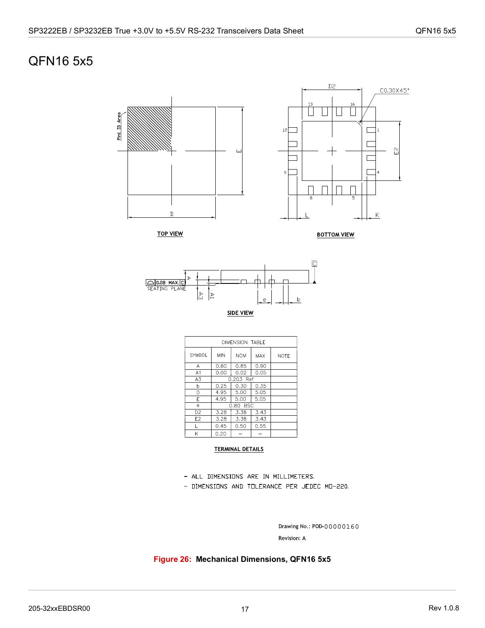## <span id="page-21-0"></span>QFN16 5x5





| DIMENSION TABLE |                                        |           |      |             |  |  |  |
|-----------------|----------------------------------------|-----------|------|-------------|--|--|--|
| <b>SYMBOL</b>   | <b>MIN</b><br><b>NOM</b><br><b>MAX</b> |           |      | <b>NOTE</b> |  |  |  |
| Α               | 0.80                                   | 0.85      | 0.90 |             |  |  |  |
| A <sub>1</sub>  | 0.00                                   | 0.02      | 0.05 |             |  |  |  |
| A3              |                                        | 0.203 Ref |      |             |  |  |  |
| b               | 0.25                                   | 0.30      | 0.35 |             |  |  |  |
| D               | 4.95                                   | 5.00      | 5.05 |             |  |  |  |
| E               | 4.95                                   | 5.00      | 5.05 |             |  |  |  |
| e               |                                        | 0.80 BSC  |      |             |  |  |  |
| D <sub>2</sub>  | 3.28                                   | 3.38      | 3.43 |             |  |  |  |
| E2              | 3.28                                   | 3.38      | 3.43 |             |  |  |  |
|                 | 0.45                                   | 0.50      | 0.55 |             |  |  |  |
| K               | 0.20                                   |           |      |             |  |  |  |

#### **TERMINAL DETAILS**

- ALL DIMENSIONS ARE IN MILLIMETERS.
- DIMENSIONS AND TOLERANCE PER JEDEC MO-220.

Drawing No.: POD-00000160 Revision: A

<span id="page-21-1"></span>**Figure 26: Mechanical Dimensions, QFN16 5x5**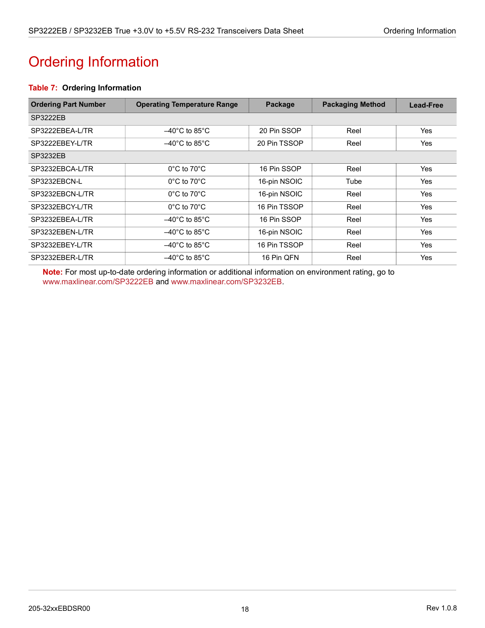# <span id="page-22-1"></span><span id="page-22-0"></span>Ordering Information

### <span id="page-22-2"></span>**Table 7: Ordering Information**

| <b>Ordering Part Number</b> | <b>Operating Temperature Range</b> | Package      | <b>Packaging Method</b> | <b>Lead-Free</b> |
|-----------------------------|------------------------------------|--------------|-------------------------|------------------|
| SP3222EB                    |                                    |              |                         |                  |
| SP3222EBEA-L/TR             | $-40^{\circ}$ C to 85 $^{\circ}$ C | 20 Pin SSOP  | Reel                    | Yes              |
| SP3222EBEY-L/TR             | $-40^{\circ}$ C to 85 $^{\circ}$ C | 20 Pin TSSOP | Reel                    | <b>Yes</b>       |
| <b>SP3232EB</b>             |                                    |              |                         |                  |
| SP3232EBCA-L/TR             | $0^{\circ}$ C to $70^{\circ}$ C    | 16 Pin SSOP  | Reel                    | Yes              |
| SP3232EBCN-L                | $0^{\circ}$ C to 70 $^{\circ}$ C   | 16-pin NSOIC | Tube                    | Yes              |
| SP3232EBCN-L/TR             | $0^{\circ}$ C to 70 $^{\circ}$ C   | 16-pin NSOIC | Reel                    | Yes              |
| SP3232EBCY-L/TR             | $0^{\circ}$ C to 70 $^{\circ}$ C   | 16 Pin TSSOP | Reel                    | Yes              |
| SP3232EBEA-L/TR             | $-40^{\circ}$ C to 85 $^{\circ}$ C | 16 Pin SSOP  | Reel                    | Yes              |
| SP3232EBEN-L/TR             | $-40^{\circ}$ C to 85 $^{\circ}$ C | 16-pin NSOIC | Reel                    | Yes              |
| SP3232EBEY-L/TR             | $-40^{\circ}$ C to 85 $^{\circ}$ C | 16 Pin TSSOP | Reel                    | Yes              |
| SP3232EBER-L/TR             | $-40^{\circ}$ C to 85 $^{\circ}$ C | 16 Pin QFN   | Reel                    | Yes              |

**Note:** For most up-to-date ordering information or additional information on environment rating, go to [www.maxlinear.com/SP3222EB](http://www.maxlinear.com/SP3222EB) and [www.maxlinear.com/SP3232EB](http://www.maxlinear.com/SP3232EB).